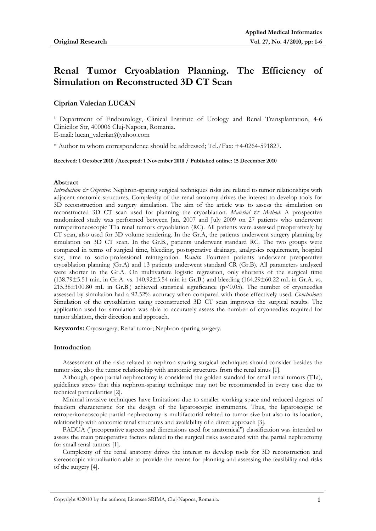# **Renal Tumor Cryoablation Planning. The Efficiency of Simulation on Reconstructed 3D CT Scan**

## **Ciprian Valerian LUCAN**

1 Department of Endourology, Clinical Institute of Urology and Renal Transplantation, 4-6 Clinicilor Str, 400006 Cluj-Napoca, Romania.

E-mail: lucan\_valerian@yahoo.com

\* Author to whom correspondence should be addressed; Tel./Fax: +4-0264-591827.

**Received: 1 October 2010 /Accepted: 1 November 2010 / Published online: 15 December 2010** 

## **Abstract**

*Introduction & Objective:* Nephron-sparing surgical techniques risks are related to tumor relationships with adjacent anatomic structures. Complexity of the renal anatomy drives the interest to develop tools for 3D reconstruction and surgery simulation. The aim of the article was to assess the simulation on reconstructed 3D CT scan used for planning the cryoablation. *Material & Method:* A prospective randomized study was performed between Jan. 2007 and July 2009 on 27 patients who underwent retroperitoneoscopic T1a renal tumors cryoablation (RC). All patients were assessed preoperatively by CT scan, also used for 3D volume rendering. In the Gr.A, the patients underwent surgery planning by simulation on 3D CT scan. In the Gr.B., patients underwent standard RC. The two groups were compared in terms of surgical time, bleeding, postoperative drainage, analgesics requirement, hospital stay, time to socio-professional reintegration. *Results***:** Fourteen patients underwent preoperative cryoablation planning (Gr.A) and 13 patients underwent standard CR (Gr.B). All parameters analyzed were shorter in the Gr.A. On multivariate logistic regression, only shortens of the surgical time (138.79±5.51 min. in Gr.A. vs. 140.92±5.54 min in Gr.B.) and bleeding (164.29±60.22 mL in Gr.A. vs.  $215.38\pm100.80$  mL in Gr.B.) achieved statistical significance (p<0.05). The number of cryoneedles assessed by simulation had a 92.52% accuracy when compared with those effectively used. *Conclusions*: Simulation of the cryoablation using reconstructed 3D CT scan improves the surgical results. The application used for simulation was able to accurately assess the number of cryoneedles required for tumor ablation, their direction and approach.

**Keywords:** Cryosurgery; Renal tumor; Nephron-sparing surgery.

## **Introduction**

Assessment of the risks related to nephron-sparing surgical techniques should consider besides the tumor size, also the tumor relationship with anatomic structures from the renal sinus [1].

Although, open partial nephrectomy is considered the golden standard for small renal tumors (T1a), guidelines stress that this nephron-sparing technique may not be recommended in every case due to technical particularities [2].

Minimal invasive techniques have limitations due to smaller working space and reduced degrees of freedom characteristic for the design of the laparoscopic instruments. Thus, the laparoscopic or retroperitoneoscopic partial nephrectomy is multifactorial related to tumor size but also to its location, relationship with anatomic renal structures and availability of a direct approach [3].

PADUA ("preoperative aspects and dimensions used for anatomical") classification was intended to assess the main preoperative factors related to the surgical risks associated with the partial nephrectomy for small renal tumors [1].

Complexity of the renal anatomy drives the interest to develop tools for 3D reconstruction and stereoscopic virtualization able to provide the means for planning and assessing the feasibility and risks of the surgery [4].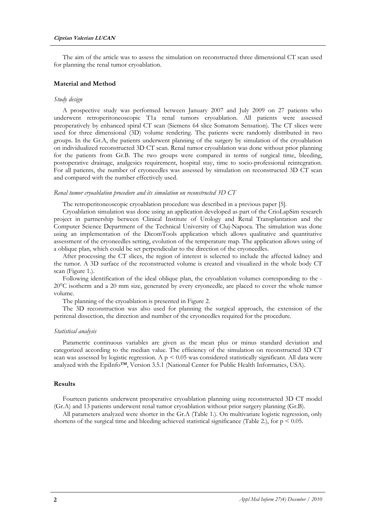The aim of the article was to assess the simulation on reconstructed three dimensional CT scan used for planning the renal tumor cryoablation.

## **Material and Method**

## *Study design*

A prospective study was performed between January 2007 and July 2009 on 27 patients who underwent retroperitoneoscopic T1a renal tumors cryoablation. All patients were assessed preoperatively by enhanced spiral CT scan (Siemens 64 slice Somatom Sensation). The CT slices were used for three dimensional (3D) volume rendering. The patients were randomly distributed in two groups. In the Gr.A, the patients underwent planning of the surgery by simulation of the cryoablation on individualized reconstructed 3D CT scan. Renal tumor cryoablation was done without prior planning for the patients from Gr.B. The two groups were compared in terms of surgical time, bleeding, postoperative drainage, analgesics requirement, hospital stay, time to socio-professional reintegration. For all patients, the number of cryoneedles was assessed by simulation on reconstructed 3D CT scan and compared with the number effectively used.

#### *Renal tumor cryoablation procedure and its simulation on reconstructed 3D CT*

The retroperitoneoscopic cryoablation procedure was described in a previous paper [5].

Cryoablation simulation was done using an application developed as part of the CrioLapSim research project in partnership between Clinical Institute of Urology and Renal Transplantation and the Computer Science Department of the Technical University of Cluj-Napoca. The simulation was done using an implementation of the DicomTools application which allows qualitative and quantitative assessment of the cryoneedles setting, evolution of the temperature map. The application allows using of a oblique plan, which could be set perpendicular to the direction of the cryoneedles.

After processing the CT slices, the region of interest is selected to include the affected kidney and the tumor. A 3D surface of the reconstructed volume is created and visualized in the whole body CT scan (Figure 1.).

Following identification of the ideal oblique plan, the cryoablation volumes corresponding to the - 20°C isotherm and a 20 mm size, generated by every cryoneedle, are placed to cover the whole tumor volume.

The planning of the cryoablation is presented in Figure 2.

The 3D reconstruction was also used for planning the surgical approach, the extension of the perirenal dissection, the direction and number of the cryoneedles required for the procedure.

#### *Statistical analysis*

Parametric continuous variables are given as the mean plus or minus standard deviation and categorized according to the median value. The efficiency of the simulation on reconstructed 3D CT scan was assessed by logistic regression. A  $p \le 0.05$  was considered statistically significant. All data were analyzed with the EpiInfo™, Version 3.5.1 (National Center for Public Health Informatics, USA).

#### **Results**

Fourteen patients underwent preoperative cryoablation planning using reconstructed 3D CT model (Gr.A) and 13 patients underwent renal tumor cryoablation without prior surgery planning (Gr.B).

All parameters analyzed were shorter in the Gr.A (Table 1.). On multivariate logistic regression, only shortens of the surgical time and bleeding achieved statistical significance (Table 2.), for  $p < 0.05$ .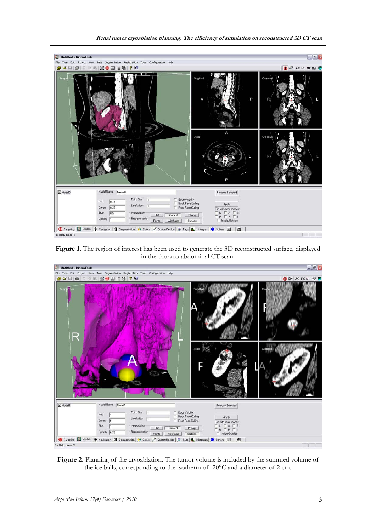## **Renal tumor cryoablation planning. The efficiency of simulation on reconstructed 3D CT scan**



**Figure 1.** The region of interest has been used to generate the 3D reconstructed surface, displayed in the thoraco-abdominal CT scan.



**Figure 2.** Planning of the cryoablation. The tumor volume is included by the summed volume of the ice balls, corresponding to the isotherm of -20°C and a diameter of 2 cm.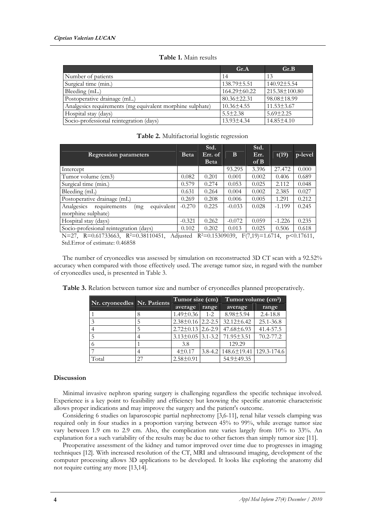|                                                           | Gr.A              | Gr.B                |
|-----------------------------------------------------------|-------------------|---------------------|
| Number of patients                                        | 14                | 13                  |
| Surgical time (min.)                                      | 138.79±5.51       | $140.92 \pm 5.54$   |
| Bleeding (mL.)                                            | 164.29±60.22      | $215.38 \pm 100.80$ |
| Postoperative drainage (mL.)                              | $80.36 \pm 22.31$ | 98.08±18.99         |
| Analgesics requirements (mg equivalent morphine sulphate) | $10.36 \pm 4.55$  | $11.53 \pm 3.67$    |
| Hospital stay (days)                                      | $5.5 \pm 2.38$    | $5.69 \pm 2.25$     |
| Socio-professional reintegration (days)                   | $13.93 \pm 4.34$  | $14.85 \pm 4.10$    |

**Table 2.** Multifactorial logistic regression

**Table 1.** Main results

| <b>Regression parameters</b>                                          | <b>Beta</b> | Std.<br>Err. of<br><b>Beta</b> | B        | Std.<br>Err.<br>of B | t(19)    | p-level |
|-----------------------------------------------------------------------|-------------|--------------------------------|----------|----------------------|----------|---------|
| Intercept                                                             |             |                                | 93.295   | 3.396                | 27.472   | 0.000   |
| Tumor volume (cm3)                                                    |             | 0.201                          | 0.001    | 0.002                | 0.406    | 0.689   |
| Surgical time (min.)                                                  |             | 0.274                          | 0.053    | 0.025                | 2.112    | 0.048   |
| Bleeding (mL)                                                         |             | 0.264                          | 0.004    | 0.002                | 2.385    | 0.027   |
| Postoperative drainage (mL)                                           | 0.269       | 0.208                          | 0.006    | 0.005                | 1.291    | 0.212   |
| equivalent<br>Analgesics<br>requirements<br>(mg<br>morphine sulphate) | $-0.270$    | 0.225                          | $-0.033$ | 0.028                | $-1.199$ | 0.245   |
| Hospital stay (days)                                                  | $-0.321$    | 0.262                          | $-0.072$ | 0.059                | $-1.226$ | 0.235   |
| Socio-profesional reintegration (days)                                |             | 0.202                          | 0.013    | 0.025                | 0.506    | 0.618   |

N=27, R=0.61733663, R<sup>2</sup>=0.38110451, Adjusted R<sup>2</sup>=0.15309039, F(7,19)=1.6714, p<0.17611, Std.Error of estimate: 0.46858

The number of cryoneedles was assessed by simulation on reconstructed 3D CT scan with a 92.52% accuracy when compared with those effectively used. The average tumor size, in regard with the number of cryoneedles used, is presented in Table 3.

|       | Nr. cryoneedles Nr. Patients | Tumor size (cm)         |         | Tumor volume $(cm3)$                          |              |  |
|-------|------------------------------|-------------------------|---------|-----------------------------------------------|--------------|--|
|       |                              | average                 | range   | average                                       | range        |  |
|       |                              | $1.49 \pm 0.36$         | $1 - 2$ | $8.98 \pm 5.94$                               | $2.4 - 18.8$ |  |
|       |                              | $2.38\pm0.16$   2.2-2.5 |         | $32.12 \pm 6.42$                              | 25.1-36.8    |  |
|       |                              | $2.72\pm0.13$   2.6-2.9 |         | $47.68 \pm 6.93$                              | 41.4-57.5    |  |
|       |                              |                         |         | $3.13\pm0.05$   3.1-3.2   71.95 $\pm$ 3.51    | 70.2-77.2    |  |
|       |                              | 3.8                     |         | 129.29                                        |              |  |
|       |                              | 4±0.17                  |         | $3.8-4.2$   $148.6 \pm 19.41$   $129.3-174.6$ |              |  |
| Total | 27                           | $2.58 \pm 0.91$         |         | 54.9±49.35                                    |              |  |

**Table 3.** Relation between tumor size and number of cryoneedles planned preoperatively.

## **Discussion**

Minimal invasive nephron sparing surgery is challenging regardless the specific technique involved. Experience is a key point to feasibility and efficiency but knowing the specific anatomic characteristic allows proper indications and may improve the surgery and the patient's outcome.

Considering 6 studies on laparoscopic partial nephrectomy [3,6-11], renal hilar vessels clamping was required only in four studies in a proportion varying between 45% to 99%, while average tumor size vary between 1.9 cm to 2.9 cm. Also, the complication rate varies largely from 10% to 33%. An explanation for a such variability of the results may be due to other factors than simply tumor size [11].

Preoperative assessment of the kidney and tumor improved over time due to progresses in imaging techniques [12]. With increased resolution of the CT, MRI and ultrasound imaging, development of the computer processing allows 3D applications to be developed. It looks like exploring the anatomy did not require cutting any more [13,14].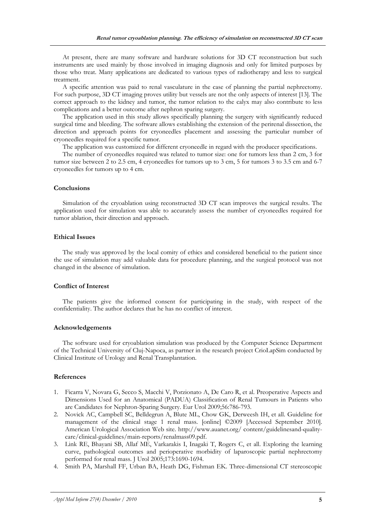At present, there are many software and hardware solutions for 3D CT reconstruction but such instruments are used mainly by those involved in imaging diagnosis and only for limited purposes by those who treat. Many applications are dedicated to various types of radiotherapy and less to surgical treatment.

A specific attention was paid to renal vasculature in the case of planning the partial nephrectomy. For such purpose, 3D CT imaging proves utility but vessels are not the only aspects of interest [13]. The correct approach to the kidney and tumor, the tumor relation to the calyx may also contribute to less complications and a better outcome after nephron sparing surgery.

The application used in this study allows specifically planning the surgery with significantly reduced surgical time and bleeding. The software allows establishing the extension of the perirenal dissection, the direction and approach points for cryoneedles placement and assessing the particular number of cryoneedles required for a specific tumor.

The application was customized for different cryoneedle in regard with the producer specifications.

The number of cryoneedles required was related to tumor size: one for tumors less than 2 cm, 3 for tumor size between 2 to 2.5 cm, 4 cryoneedles for tumors up to 3 cm, 5 for tumors 3 to 3.5 cm and 6-7 cryoneedles for tumors up to 4 cm.

#### **Conclusions**

Simulation of the cryoablation using reconstructed 3D CT scan improves the surgical results. The application used for simulation was able to accurately assess the number of cryoneedles required for tumor ablation, their direction and approach.

## **Ethical Issues**

The study was approved by the local comity of ethics and considered beneficial to the patient since the use of simulation may add valuable data for procedure planning, and the surgical protocol was not changed in the absence of simulation.

## **Conflict of Interest**

The patients give the informed consent for participating in the study, with respect of the confidentiality. The author declares that he has no conflict of interest.

## **Acknowledgements**

The software used for cryoablation simulation was produced by the Computer Science Department of the Technical University of Cluj-Napoca, as partner in the research project CrioLapSim conducted by Clinical Institute of Urology and Renal Transplantation.

## **References**

- 1. Ficarra V, Novara G, Secco S, Macchi V, Porzionato A, De Caro R, et al. Preoperative Aspects and Dimensions Used for an Anatomical (PADUA) Classification of Renal Tumours in Patients who are Candidates for Nephron-Sparing Surgery. Eur Urol 2009;56:786-793.
- 2. Novick AC, Campbell SC, Belldegrun A, Blute ML, Chow GK, Derweesh IH, et all. Guideline for management of the clinical stage 1 renal mass. [online] ©2009 [Accessed September 2010]. American Urological Association Web site. http://www.auanet.org/ content/guidelinesand-qualitycare/clinical-guidelines/main-reports/renalmass09.pdf.
- 3. Link RE, Bhayani SB, Allaf ME, Varkarakis I, Inagaki T, Rogers C, et all. Exploring the learning curve, pathological outcomes and perioperative morbidity of laparoscopic partial nephrectomy performed for renal mass. J Urol 2005;173:1690-1694.
- 4. Smith PA, Marshall FF, Urban BA, Heath DG, Fishman EK. Three-dimensional CT stereoscopic